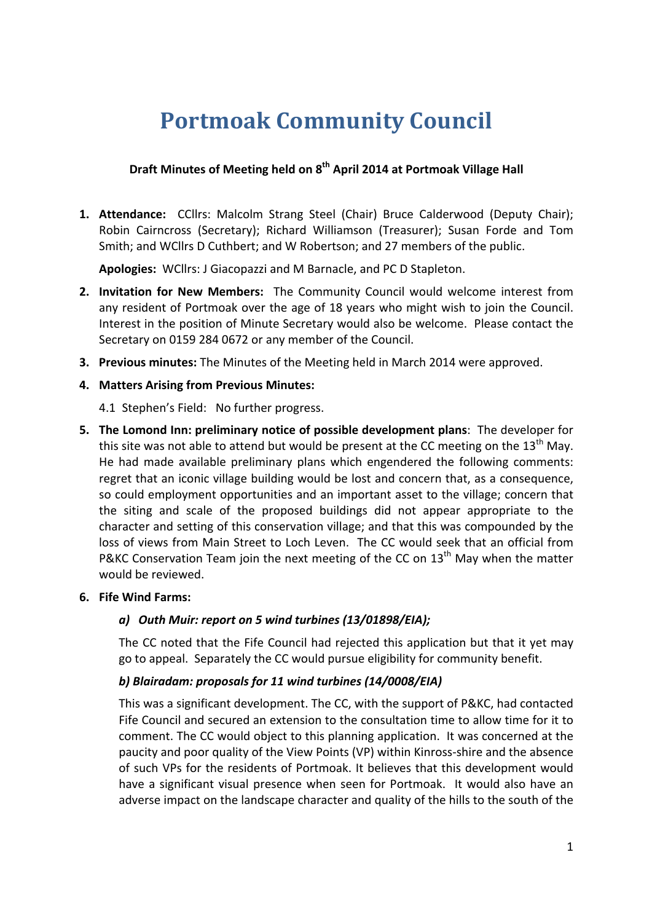# **Portmoak Community Council**

## **Draft Minutes of Meeting held on 8th April 2014 at Portmoak Village Hall**

**1. Attendance:** CCllrs: Malcolm Strang Steel (Chair) Bruce Calderwood (Deputy Chair); Robin Cairncross (Secretary); Richard Williamson (Treasurer); Susan Forde and Tom Smith; and WCllrs D Cuthbert; and W Robertson; and 27 members of the public.

Apologies: WCllrs: J Giacopazzi and M Barnacle, and PC D Stapleton.

- **2. Invitation for New Members:** The Community Council would welcome interest from any resident of Portmoak over the age of 18 years who might wish to join the Council. Interest in the position of Minute Secretary would also be welcome. Please contact the Secretary on 0159 284 0672 or any member of the Council.
- **3. Previous minutes:** The Minutes of the Meeting held in March 2014 were approved.
- **4. Matters Arising from Previous Minutes:**
	- 4.1 Stephen's Field: No further progress.
- **5.** The Lomond Inn: preliminary notice of possible development plans: The developer for this site was not able to attend but would be present at the CC meeting on the  $13<sup>th</sup>$  May. He had made available preliminary plans which engendered the following comments: regret that an iconic village building would be lost and concern that, as a consequence, so could employment opportunities and an important asset to the village; concern that the siting and scale of the proposed buildings did not appear appropriate to the character and setting of this conservation village; and that this was compounded by the loss of views from Main Street to Loch Leven. The CC would seek that an official from P&KC Conservation Team ioin the next meeting of the CC on  $13<sup>th</sup>$  May when the matter would be reviewed.
- **6. Fife Wind Farms:**

## *a) Outh Muir: report on 5 wind turbines (13/01898/EIA);*

The CC noted that the Fife Council had rejected this application but that it yet may go to appeal. Separately the CC would pursue eligibility for community benefit.

## b) Blairadam: proposals for 11 wind turbines (14/0008/EIA)

This was a significant development. The CC, with the support of P&KC, had contacted Fife Council and secured an extension to the consultation time to allow time for it to comment. The CC would object to this planning application. It was concerned at the paucity and poor quality of the View Points (VP) within Kinross-shire and the absence of such VPs for the residents of Portmoak. It believes that this development would have a significant visual presence when seen for Portmoak. It would also have an adverse impact on the landscape character and quality of the hills to the south of the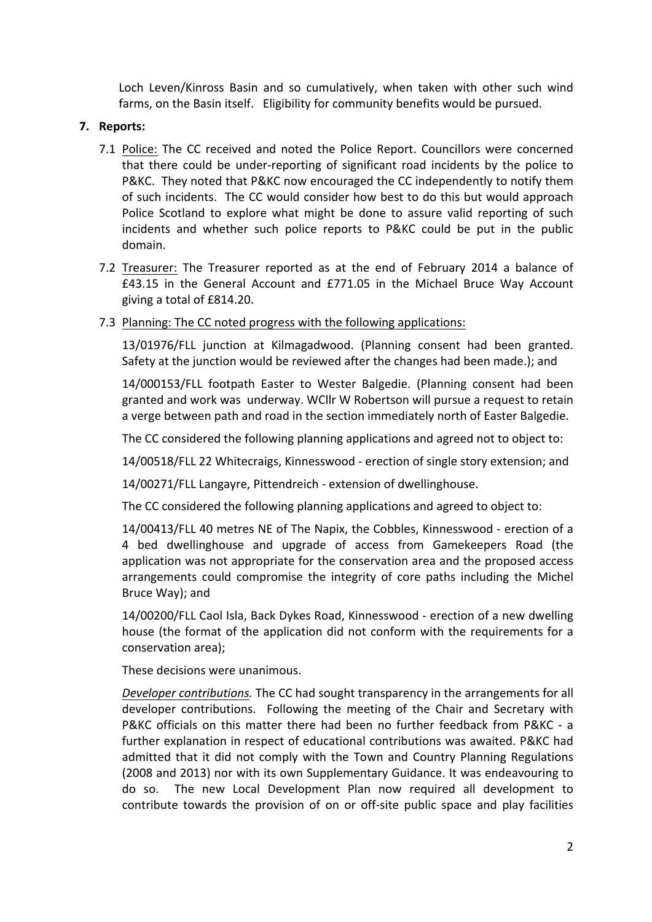Loch Leven/Kinross Basin and so cumulatively, when taken with other such wind farms, on the Basin itself. Eligibility for community benefits would be pursued.

#### **7. Reports:**

- 7.1 Police: The CC received and noted the Police Report. Councillors were concerned that there could be under-reporting of significant road incidents by the police to P&KC. They noted that P&KC now encouraged the CC independently to notify them of such incidents. The CC would consider how best to do this but would approach Police Scotland to explore what might be done to assure valid reporting of such incidents and whether such police reports to P&KC could be put in the public domain.
- 7.2 Treasurer: The Treasurer reported as at the end of February 2014 a balance of  $£43.15$  in the General Account and  $£771.05$  in the Michael Bruce Way Account giving a total of £814.20.
- 7.3 Planning: The CC noted progress with the following applications:

13/01976/FLL junction at Kilmagadwood. (Planning consent had been granted. Safety at the junction would be reviewed after the changes had been made.); and

14/000153/FLL footpath Easter to Wester Balgedie. (Planning consent had been granted and work was underway. WCllr W Robertson will pursue a request to retain a verge between path and road in the section immediately north of Easter Balgedie.

The CC considered the following planning applications and agreed not to object to:

14/00518/FLL 22 Whitecraigs, Kinnesswood - erection of single story extension; and

14/00271/FLL Langayre, Pittendreich - extension of dwellinghouse.

The CC considered the following planning applications and agreed to object to:

14/00413/FLL 40 metres NE of The Napix, the Cobbles, Kinnesswood - erection of a 4 bed dwellinghouse and upgrade of access from Gamekeepers Road (the application was not appropriate for the conservation area and the proposed access arrangements could compromise the integrity of core paths including the Michel Bruce Way); and

14/00200/FLL Caol Isla, Back Dykes Road, Kinnesswood - erection of a new dwelling house (the format of the application did not conform with the requirements for a conservation area);

These decisions were unanimous.

*Developer contributions.* The CC had sought transparency in the arrangements for all developer contributions. Following the meeting of the Chair and Secretary with P&KC officials on this matter there had been no further feedback from P&KC - a further explanation in respect of educational contributions was awaited. P&KC had admitted that it did not comply with the Town and Country Planning Regulations (2008 and 2013) nor with its own Supplementary Guidance. It was endeavouring to do so. The new Local Development Plan now required all development to contribute towards the provision of on or off-site public space and play facilities